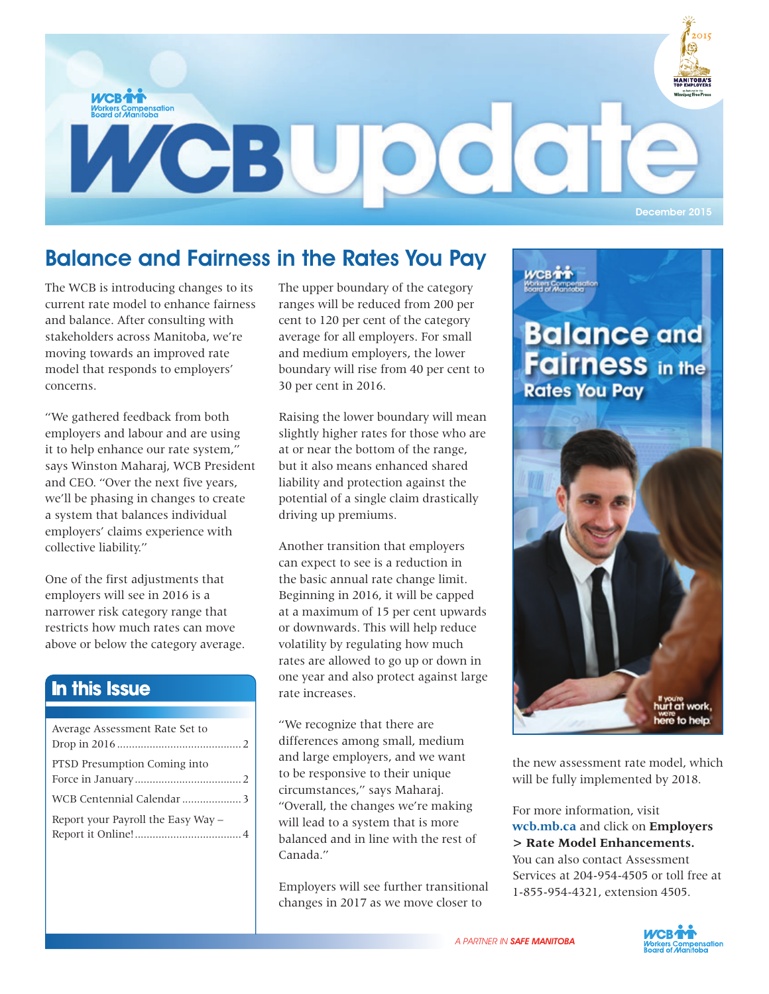

## Balance and Fairness in the Rates You Pay

The WCB is introducing changes to its current rate model to enhance fairness and balance. After consulting with stakeholders across Manitoba, we're moving towards an improved rate model that responds to employers' concerns.

"We gathered feedback from both employers and labour and are using it to help enhance our rate system," says Winston Maharaj, WCB President and CEO. "Over the next five years, we'll be phasing in changes to create a system that balances individual employers' claims experience with collective liability."

One of the first adjustments that employers will see in 2016 is a narrower risk category range that restricts how much rates can move above or below the category average.

#### In this Issue

| Average Assessment Rate Set to     |
|------------------------------------|
| PTSD Presumption Coming into       |
|                                    |
| Report your Payroll the Easy Way - |

The upper boundary of the category ranges will be reduced from 200 per cent to 120 per cent of the category average for all employers. For small and medium employers, the lower boundary will rise from 40 per cent to 30 per cent in 2016.

Raising the lower boundary will mean slightly higher rates for those who are at or near the bottom of the range, but it also means enhanced shared liability and protection against the potential of a single claim drastically driving up premiums.

Another transition that employers can expect to see is a reduction in the basic annual rate change limit. Beginning in 2016, it will be capped at a maximum of 15 per cent upwards or downwards. This will help reduce volatility by regulating how much rates are allowed to go up or down in one year and also protect against large rate increases.

"We recognize that there are differences among small, medium and large employers, and we want to be responsive to their unique circumstances," says Maharaj. "Overall, the changes we're making will lead to a system that is more balanced and in line with the rest of Canada."

Employers will see further transitional changes in 2017 as we move closer to



here to help.

the new assessment rate model, which will be fully implemented by 2018.

For more information, visit **wcb.mb.ca** and click on **Employers > Rate Model Enhancements.** You can also contact Assessment Services at 204-954-4505 or toll free at 1-855-954-4321, extension 4505.

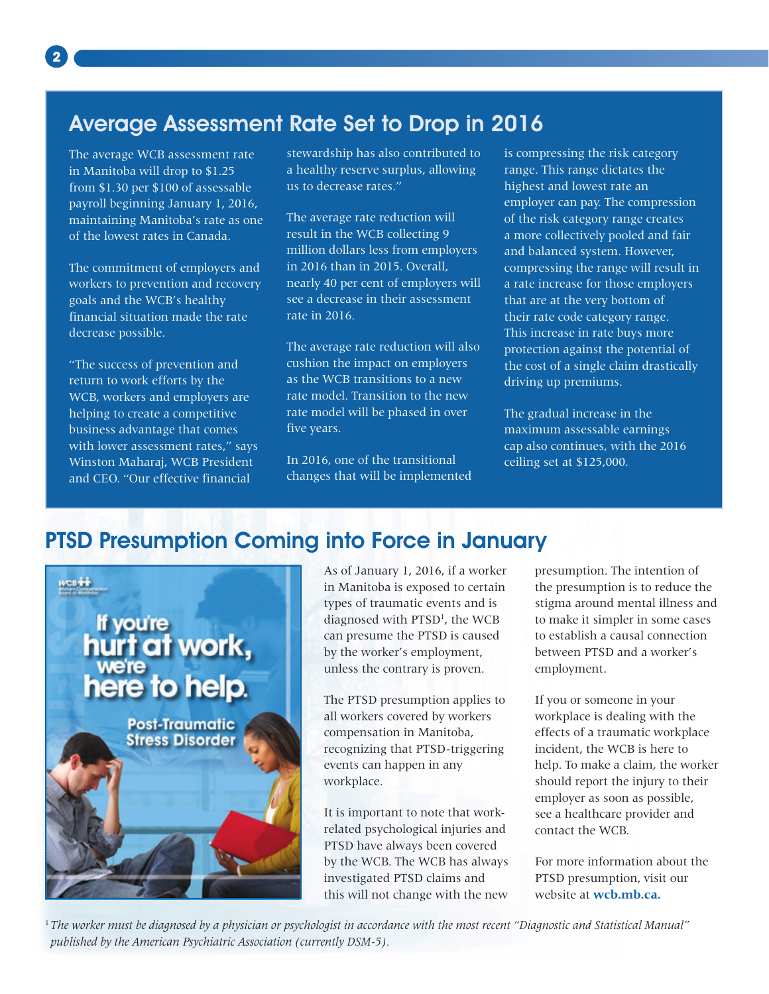## Average Assessment Rate Set to Drop in 2016

The average WCB assessment rate in Manitoba will drop to \$1.25 from \$1.30 per \$100 of assessable payroll beginning January 1, 2016, maintaining Manitoba's rate as one of the lowest rates in Canada.

The commitment of employers and workers to prevention and recovery goals and the WCB's healthy financial situation made the rate decrease possible.

"The success of prevention and return to work efforts by the WCB, workers and employers are helping to create a competitive business advantage that comes with lower assessment rates," says Winston Maharaj, WCB President and CEO. "Our effective financial

stewardship has also contributed to a healthy reserve surplus, allowing us to decrease rates."

The average rate reduction will result in the WCB collecting 9 million dollars less from employers in 2016 than in 2015. Overall, nearly 40 per cent of employers will see a decrease in their assessment rate in 2016.

The average rate reduction will also cushion the impact on employers as the WCB transitions to a new rate model. Transition to the new rate model will be phased in over five years.

In 2016, one of the transitional changes that will be implemented is compressing the risk category range. This range dictates the highest and lowest rate an employer can pay. The compression of the risk category range creates a more collectively pooled and fair and balanced system. However, compressing the range will result in a rate increase for those employers that are at the very bottom of their rate code category range. This increase in rate buys more protection against the potential of the cost of a single claim drastically driving up premiums.

The gradual increase in the maximum assessable earnings cap also continues, with the 2016 ceiling set at \$125,000.

#### PTSD Presumption Coming into Force in January



As of January 1, 2016, if a worker in Manitoba is exposed to certain types of traumatic events and is diagnosed with PTSD<sup>1</sup>, the WCB can presume the PTSD is caused by the worker's employment, unless the contrary is proven.

The PTSD presumption applies to all workers covered by workers compensation in Manitoba, recognizing that PTSD-triggering events can happen in any workplace.

It is important to note that workrelated psychological injuries and PTSD have always been covered by the WCB. The WCB has always investigated PTSD claims and this will not change with the new

presumption. The intention of the presumption is to reduce the stigma around mental illness and to make it simpler in some cases to establish a causal connection between PTSD and a worker's employment.

If you or someone in your workplace is dealing with the effects of a traumatic workplace incident, the WCB is here to help. To make a claim, the worker should report the injury to their employer as soon as possible, see a healthcare provider and contact the WCB.

For more information about the PTSD presumption, visit our website at **wcb.mb.ca.**

<sup>1</sup> *The worker must be diagnosed by a physician or psychologist in accordance with the most recent "Diagnostic and Statistical Manual" published by the American Psychiatric Association (currently DSM-5).*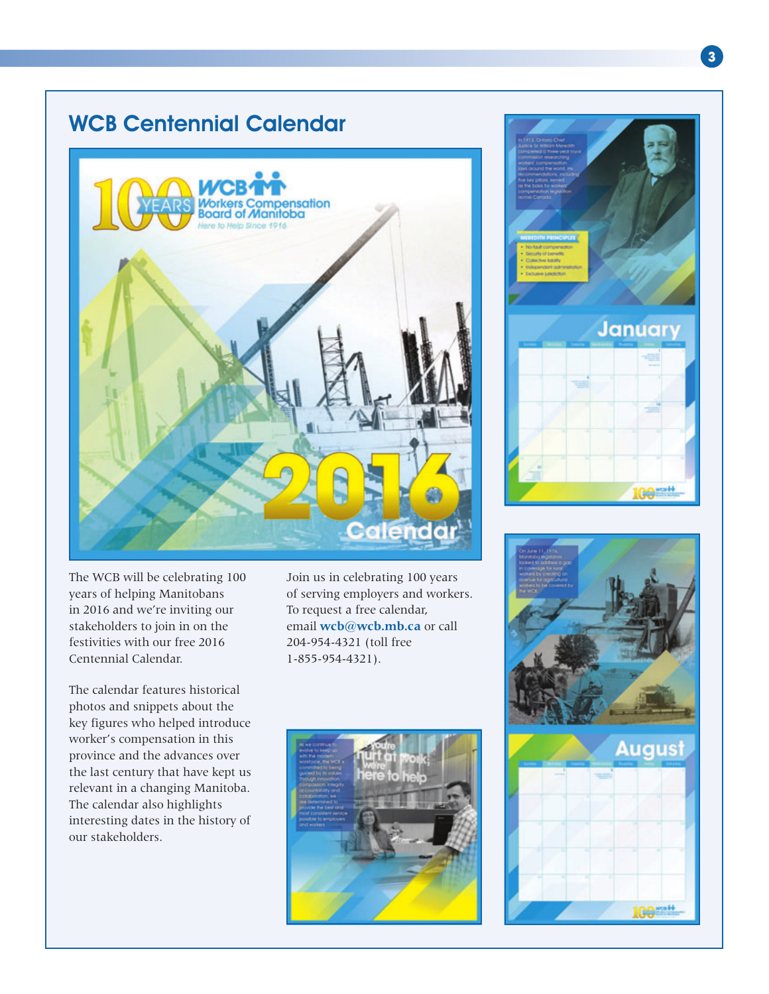### WCB Centennial Calendar



The WCB will be celebrating 100 years of helping Manitobans in 2016 and we're inviting our stakeholders to join in on the festivities with our free 2016 Centennial Calendar.

The calendar features historical photos and snippets about the key figures who helped introduce worker's compensation in this province and the advances over the last century that have kept us relevant in a changing Manitoba. The calendar also highlights interesting dates in the history of our stakeholders.

Join us in celebrating 100 years of serving employers and workers. To request a free calendar, email **wcb@wcb.mb.ca** or call 204-954-4321 (toll free 1-855-954-4321).